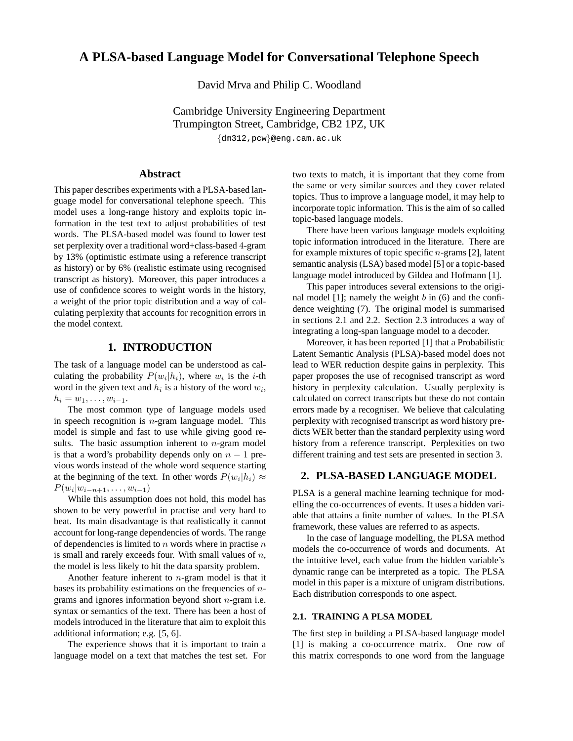# **A PLSA-based Language Model for Conversational Telephone Speech**

David Mrva and Philip C. Woodland

Cambridge University Engineering Department Trumpington Street, Cambridge, CB2 1PZ, UK

{dm312,pcw}@eng.cam.ac.uk

# **Abstract**

This paper describes experiments with a PLSA-based language model for conversational telephone speech. This model uses a long-range history and exploits topic information in the test text to adjust probabilities of test words. The PLSA-based model was found to lower test set perplexity over a traditional word+class-based 4-gram by 13% (optimistic estimate using a reference transcript as history) or by 6% (realistic estimate using recognised transcript as history). Moreover, this paper introduces a use of confidence scores to weight words in the history, a weight of the prior topic distribution and a way of calculating perplexity that accounts for recognition errors in the model context.

# **1. INTRODUCTION**

The task of a language model can be understood as calculating the probability  $P(w_i|h_i)$ , where  $w_i$  is the *i*-th word in the given text and  $h_i$  is a history of the word  $w_i$ ,  $h_i = w_1, \ldots, w_{i-1}.$ 

The most common type of language models used in speech recognition is  $n$ -gram language model. This model is simple and fast to use while giving good results. The basic assumption inherent to  $n$ -gram model is that a word's probability depends only on  $n - 1$  previous words instead of the whole word sequence starting at the beginning of the text. In other words  $P(w_i|h_i) \approx$  $P(w_i|w_{i-n+1}, \ldots, w_{i-1})$ 

While this assumption does not hold, this model has shown to be very powerful in practise and very hard to beat. Its main disadvantage is that realistically it cannot account for long-range dependencies of words. The range of dependencies is limited to  $n$  words where in practise  $n$ is small and rarely exceeds four. With small values of  $n$ , the model is less likely to hit the data sparsity problem.

Another feature inherent to  $n$ -gram model is that it bases its probability estimations on the frequencies of  $n$ grams and ignores information beyond short n-gram i.e. syntax or semantics of the text. There has been a host of models introduced in the literature that aim to exploit this additional information; e.g. [5, 6].

The experience shows that it is important to train a language model on a text that matches the test set. For two texts to match, it is important that they come from the same or very similar sources and they cover related topics. Thus to improve a language model, it may help to incorporate topic information. This is the aim of so called topic-based language models.

There have been various language models exploiting topic information introduced in the literature. There are for example mixtures of topic specific n-grams [2], latent semantic analysis (LSA) based model [5] or a topic-based language model introduced by Gildea and Hofmann [1].

This paper introduces several extensions to the original model  $[1]$ ; namely the weight b in  $(6)$  and the confidence weighting (7). The original model is summarised in sections 2.1 and 2.2. Section 2.3 introduces a way of integrating a long-span language model to a decoder.

Moreover, it has been reported [1] that a Probabilistic Latent Semantic Analysis (PLSA)-based model does not lead to WER reduction despite gains in perplexity. This paper proposes the use of recognised transcript as word history in perplexity calculation. Usually perplexity is calculated on correct transcripts but these do not contain errors made by a recogniser. We believe that calculating perplexity with recognised transcript as word history predicts WER better than the standard perplexity using word history from a reference transcript. Perplexities on two different training and test sets are presented in section 3.

#### **2. PLSA-BASED LANGUAGE MODEL**

PLSA is a general machine learning technique for modelling the co-occurrences of events. It uses a hidden variable that attains a finite number of values. In the PLSA framework, these values are referred to as aspects.

In the case of language modelling, the PLSA method models the co-occurrence of words and documents. At the intuitive level, each value from the hidden variable's dynamic range can be interpreted as a topic. The PLSA model in this paper is a mixture of unigram distributions. Each distribution corresponds to one aspect.

# **2.1. TRAINING A PLSA MODEL**

The first step in building a PLSA-based language model [1] is making a co-occurrence matrix. One row of this matrix corresponds to one word from the language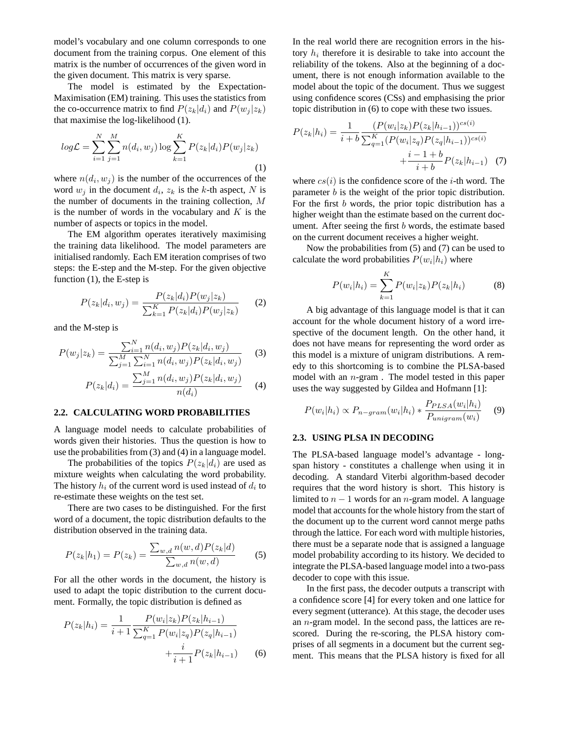model's vocabulary and one column corresponds to one document from the training corpus. One element of this matrix is the number of occurrences of the given word in the given document. This matrix is very sparse.

The model is estimated by the Expectation-Maximisation (EM) training. This uses the statistics from the co-occurrence matrix to find  $P(z_k|d_i)$  and  $P(w_j|z_k)$ that maximise the log-likelihood (1).

$$
log\mathcal{L} = \sum_{i=1}^{N} \sum_{j=1}^{M} n(d_i, w_j) \log \sum_{k=1}^{K} P(z_k | d_i) P(w_j | z_k)
$$
\n(1)

where  $n(d_i, w_j)$  is the number of the occurrences of the word  $w_j$  in the document  $d_i$ ,  $z_k$  is the k-th aspect, N is the number of documents in the training collection, M is the number of words in the vocabulary and  $K$  is the number of aspects or topics in the model.

The EM algorithm operates iteratively maximising the training data likelihood. The model parameters are initialised randomly. Each EM iteration comprises of two steps: the E-step and the M-step. For the given objective function (1), the E-step is

$$
P(z_k|d_i, w_j) = \frac{P(z_k|d_i)P(w_j|z_k)}{\sum_{k=1}^{K} P(z_k|d_i)P(w_j|z_k)}
$$
(2)

and the M-step is

$$
P(w_j|z_k) = \frac{\sum_{i=1}^{N} n(d_i, w_j) P(z_k|d_i, w_j)}{\sum_{j=1}^{M} \sum_{i=1}^{N} n(d_i, w_j) P(z_k|d_i, w_j)}
$$
(3)

$$
P(z_k|d_i) = \frac{\sum_{j=1}^{M} n(d_i, w_j) P(z_k|d_i, w_j)}{n(d_i)} \tag{4}
$$

#### **2.2. CALCULATING WORD PROBABILITIES**

A language model needs to calculate probabilities of words given their histories. Thus the question is how to use the probabilities from (3) and (4) in a language model.

The probabilities of the topics  $P(z_k|d_i)$  are used as mixture weights when calculating the word probability. The history  $h_i$  of the current word is used instead of  $d_i$  to re-estimate these weights on the test set.

There are two cases to be distinguished. For the first word of a document, the topic distribution defaults to the distribution observed in the training data.

$$
P(z_k|h_1) = P(z_k) = \frac{\sum_{w,d} n(w,d)P(z_k|d)}{\sum_{w,d} n(w,d)}
$$
 (5)

For all the other words in the document, the history is used to adapt the topic distribution to the current document. Formally, the topic distribution is defined as

$$
P(z_k|h_i) = \frac{1}{i+1} \frac{P(w_i|z_k)P(z_k|h_{i-1})}{\sum_{q=1}^{K} P(w_i|z_q)P(z_q|h_{i-1})} + \frac{i}{i+1}P(z_k|h_{i-1})
$$
(6)

In the real world there are recognition errors in the history  $h_i$  therefore it is desirable to take into account the reliability of the tokens. Also at the beginning of a document, there is not enough information available to the model about the topic of the document. Thus we suggest using confidence scores (CSs) and emphasising the prior topic distribution in (6) to cope with these two issues.

$$
P(z_k|h_i) = \frac{1}{i+b} \frac{(P(w_i|z_k)P(z_k|h_{i-1}))^{cs(i)}}{\sum_{q=1}^K (P(w_i|z_q)P(z_q|h_{i-1}))^{cs(i)}} + \frac{i-1+b}{i+b}P(z_k|h_{i-1}) \tag{7}
$$

where  $cs(i)$  is the confidence score of the *i*-th word. The parameter b is the weight of the prior topic distribution. For the first  $b$  words, the prior topic distribution has a higher weight than the estimate based on the current document. After seeing the first  $b$  words, the estimate based on the current document receives a higher weight.

Now the probabilities from (5) and (7) can be used to calculate the word probabilities  $P(w_i|h_i)$  where

$$
P(w_i|h_i) = \sum_{k=1}^{K} P(w_i|z_k)P(z_k|h_i)
$$
 (8)

A big advantage of this language model is that it can account for the whole document history of a word irrespective of the document length. On the other hand, it does not have means for representing the word order as this model is a mixture of unigram distributions. A remedy to this shortcoming is to combine the PLSA-based model with an n-gram . The model tested in this paper uses the way suggested by Gildea and Hofmann [1]:

$$
P(w_i|h_i) \propto P_{n-gram}(w_i|h_i) * \frac{P_{PLSA}(w_i|h_i)}{P_{unigram}(w_i)} \tag{9}
$$

#### **2.3. USING PLSA IN DECODING**

The PLSA-based language model's advantage - longspan history - constitutes a challenge when using it in decoding. A standard Viterbi algorithm-based decoder requires that the word history is short. This history is limited to  $n - 1$  words for an n-gram model. A language model that accounts for the whole history from the start of the document up to the current word cannot merge paths through the lattice. For each word with multiple histories, there must be a separate node that is assigned a language model probability according to its history. We decided to integrate the PLSA-based language model into a two-pass decoder to cope with this issue.

In the first pass, the decoder outputs a transcript with a confidence score [4] for every token and one lattice for every segment (utterance). At this stage, the decoder uses an n-gram model. In the second pass, the lattices are rescored. During the re-scoring, the PLSA history comprises of all segments in a document but the current segment. This means that the PLSA history is fixed for all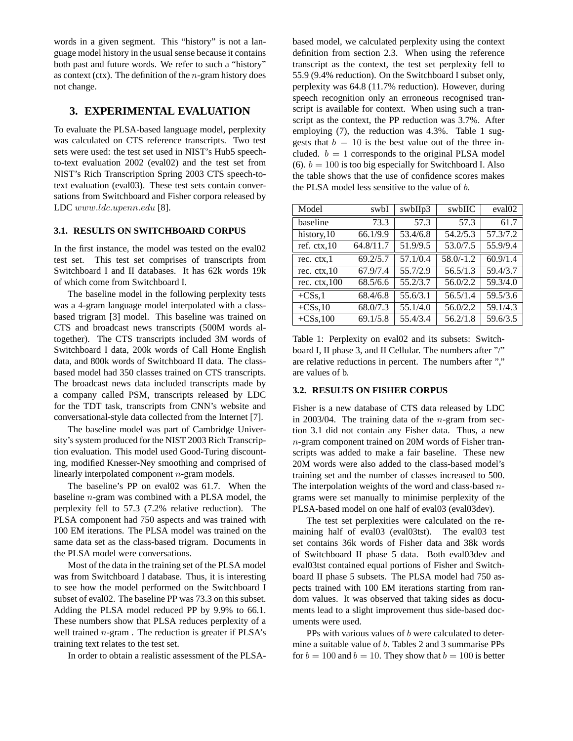words in a given segment. This "history" is not a language model history in the usual sense because it contains both past and future words. We refer to such a "history" as context (ctx). The definition of the  $n$ -gram history does not change.

# **3. EXPERIMENTAL EVALUATION**

To evaluate the PLSA-based language model, perplexity was calculated on CTS reference transcripts. Two test sets were used: the test set used in NIST's Hub5 speechto-text evaluation 2002 (eval02) and the test set from NIST's Rich Transcription Spring 2003 CTS speech-totext evaluation (eval03). These test sets contain conversations from Switchboard and Fisher corpora released by LDC www.ldc.upenn.edu [8].

#### **3.1. RESULTS ON SWITCHBOARD CORPUS**

In the first instance, the model was tested on the eval02 test set. This test set comprises of transcripts from Switchboard I and II databases. It has 62k words 19k of which come from Switchboard I.

The baseline model in the following perplexity tests was a 4-gram language model interpolated with a classbased trigram [3] model. This baseline was trained on CTS and broadcast news transcripts (500M words altogether). The CTS transcripts included 3M words of Switchboard I data, 200k words of Call Home English data, and 800k words of Switchboard II data. The classbased model had 350 classes trained on CTS transcripts. The broadcast news data included transcripts made by a company called PSM, transcripts released by LDC for the TDT task, transcripts from CNN's website and conversational-style data collected from the Internet [7].

The baseline model was part of Cambridge University's system produced for the NIST 2003 Rich Transcription evaluation. This model used Good-Turing discounting, modified Knesser-Ney smoothing and comprised of linearly interpolated component n-gram models.

The baseline's PP on eval02 was 61.7. When the baseline n-gram was combined with a PLSA model, the perplexity fell to 57.3 (7.2% relative reduction). The PLSA component had 750 aspects and was trained with 100 EM iterations. The PLSA model was trained on the same data set as the class-based trigram. Documents in the PLSA model were conversations.

Most of the data in the training set of the PLSA model was from Switchboard I database. Thus, it is interesting to see how the model performed on the Switchboard I subset of eval02. The baseline PP was 73.3 on this subset. Adding the PLSA model reduced PP by 9.9% to 66.1. These numbers show that PLSA reduces perplexity of a well trained  $n$ -gram. The reduction is greater if PLSA's training text relates to the test set.

In order to obtain a realistic assessment of the PLSA-

based model, we calculated perplexity using the context definition from section 2.3. When using the reference transcript as the context, the test set perplexity fell to 55.9 (9.4% reduction). On the Switchboard I subset only, perplexity was 64.8 (11.7% reduction). However, during speech recognition only an erroneous recognised transcript is available for context. When using such a transcript as the context, the PP reduction was 3.7%. After employing (7), the reduction was 4.3%. Table 1 suggests that  $b = 10$  is the best value out of the three included.  $b = 1$  corresponds to the original PLSA model (6).  $b = 100$  is too big especially for Switchboard I. Also the table shows that the use of confidence scores makes the PLSA model less sensitive to the value of b.

| Model                   | swbI      | swbIIp3  | swbIIC                | eval <sub>02</sub> |
|-------------------------|-----------|----------|-----------------------|--------------------|
| baseline                | 73.3      | 57.3     | 57.3                  | 61.7               |
| history, 10             | 66.1/9.9  | 53.4/6.8 | $\overline{54.2}/5.3$ | 57.3/7.2           |
| ref. $ctx, 10$          | 64.8/11.7 | 51.9/9.5 | 53.0/7.5              | 55.9/9.4           |
| rec. $ctx,1$            | 69.2/5.7  | 57.1/0.4 | $58.0/-1.2$           | 60.9/1.4           |
| rec. $ctx, 10$          | 67.9/7.4  | 55.7/2.9 | 56.5/1.3              | 59.4/3.7           |
| rec. $ctx, 100$         | 68.5/6.6  | 55.2/3.7 | 56.0/2.2              | 59.3/4.0           |
| $+CSs,1$                | 68.4/6.8  | 55.6/3.1 | 56.5/1.4              | 59.5/3.6           |
| $+CSs,10$               | 68.0/7.3  | 55.1/4.0 | 56.0/2.2              | 59.1/4.3           |
| $\overline{+}$ CSs, 100 | 69.1/5.8  | 55.4/3.4 | 56.2/1.8              | 59.6/3.5           |

Table 1: Perplexity on eval02 and its subsets: Switchboard I, II phase 3, and II Cellular. The numbers after "/" are relative reductions in percent. The numbers after "," are values of b.

#### **3.2. RESULTS ON FISHER CORPUS**

Fisher is a new database of CTS data released by LDC in 2003/04. The training data of the  $n$ -gram from section 3.1 did not contain any Fisher data. Thus, a new n-gram component trained on 20M words of Fisher transcripts was added to make a fair baseline. These new 20M words were also added to the class-based model's training set and the number of classes increased to 500. The interpolation weights of the word and class-based  $n$ grams were set manually to minimise perplexity of the PLSA-based model on one half of eval03 (eval03dev).

The test set perplexities were calculated on the remaining half of eval03 (eval03tst). The eval03 test set contains 36k words of Fisher data and 38k words of Switchboard II phase 5 data. Both eval03dev and eval03tst contained equal portions of Fisher and Switchboard II phase 5 subsets. The PLSA model had 750 aspects trained with 100 EM iterations starting from random values. It was observed that taking sides as documents lead to a slight improvement thus side-based documents were used.

PPs with various values of b were calculated to determine a suitable value of b. Tables 2 and 3 summarise PPs for  $b = 100$  and  $b = 10$ . They show that  $b = 100$  is better